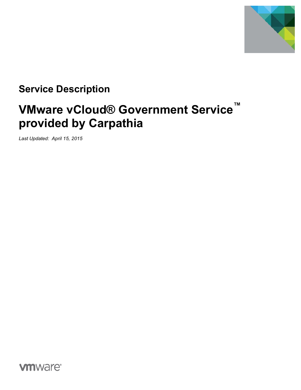

## **Service Description**

# **VMware vCloud® Government Service™ provided by Carpathia**

*Last Updated: April 15, 2015*

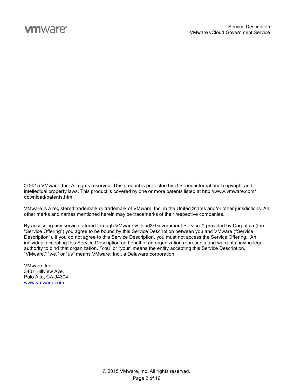## **vm**ware<sup>®</sup>

© 2015 VMware, Inc. All rights reserved. This product is protected by U.S. and international copyright and intellectual property laws. This product is covered by one or more patents listed at http://www.vmware.com/ download/patents.html.

VMware is a registered trademark or trademark of VMware, Inc. in the United States and/or other jurisdictions. All other marks and names mentioned herein may be trademarks of their respective companies.

By accessing any service offered through VMware vCloud® Government Service™ provided by Carpathia (the "Service Offering") you agree to be bound by this Service Description between you and VMware ("Service Description"). If you do not agree to this Service Description, you must not access the Service Offering. An individual accepting this Service Description on behalf of an organization represents and warrants having legal authority to bind that organization. "You" or "your" means the entity accepting this Service Description. "VMware," "we," or "us" means VMware, Inc., a Delaware corporation.

VMware, Inc. 3401 Hillview Ave. Palo Alto, CA 94304 www.vmware.com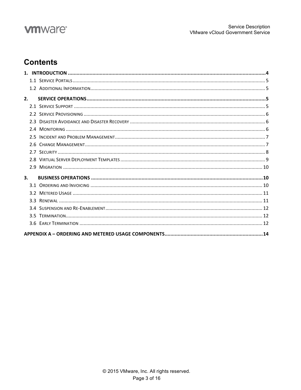## **vm**ware<sup>®</sup>

## **Contents**

| 2. |  |
|----|--|
|    |  |
|    |  |
|    |  |
|    |  |
|    |  |
|    |  |
|    |  |
|    |  |
|    |  |
| 3. |  |
|    |  |
|    |  |
|    |  |
|    |  |
|    |  |
|    |  |
|    |  |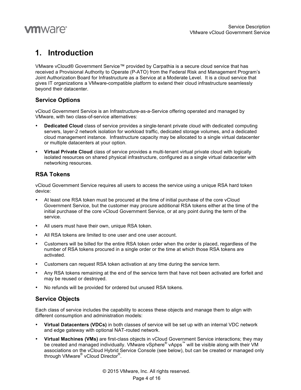

### **1. Introduction**

VMware vCloud® Government Service™ provided by Carpathia is a secure cloud service that has received a Provisional Authority to Operate (P-ATO) from the Federal Risk and Management Program's Joint Authorization Board for Infrastructure as a Service at a Moderate Level. It is a cloud service that gives IT organizations a VMware-compatible platform to extend their cloud infrastructure seamlessly beyond their datacenter.

#### **Service Options**

vCloud Government Service is an Infrastructure-as-a-Service offering operated and managed by VMware, with two class-of-service alternatives:

- **Dedicated Cloud** class of service provides a single-tenant private cloud with dedicated computing servers, layer-2 network isolation for workload traffic, dedicated storage volumes, and a dedicated cloud management instance. Infrastructure capacity may be allocated to a single virtual datacenter or multiple datacenters at your option.
- **Virtual Private Cloud** class of service provides a multi-tenant virtual private cloud with logically isolated resources on shared physical infrastructure, configured as a single virtual datacenter with networking resources.

#### **RSA Tokens**

vCloud Government Service requires all users to access the service using a unique RSA hard token device:

- At least one RSA token must be procured at the time of initial purchase of the core vCloud Government Service, but the customer may procure additional RSA tokens either at the time of the initial purchase of the core vCloud Government Service, or at any point during the term of the service.
- All users must have their own, unique RSA token.
- All RSA tokens are limited to one user and one user account.
- Customers will be billed for the entire RSA token order when the order is placed, regardless of the number of RSA tokens procured in a single order or the time at which those RSA tokens are activated.
- Customers can request RSA token activation at any time during the service term.
- Any RSA tokens remaining at the end of the service term that have not been activated are forfeit and may be reused or destroyed.
- No refunds will be provided for ordered but unused RSA tokens.

#### **Service Objects**

Each class of service includes the capability to access these objects and manage them to align with different consumption and administration models:

- **Virtual Datacenters (VDCs)** in both classes of service will be set up with an internal VDC network and edge gateway with optional NAT-routed network.
- **Virtual Machines (VMs)** are first-class objects in vCloud Government Service interactions; they may be created and managed individually. VMware vSphere<sup>®</sup> vApps<sup>™</sup> will be visible along with their VM associations on the vCloud Hybrid Service Console (see below), but can be created or managed only through VMware® vCloud Director®.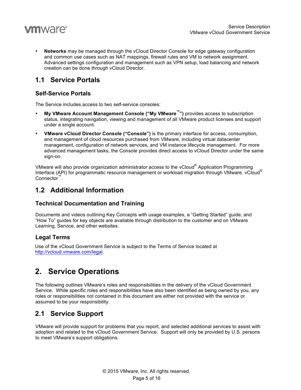

• **Networks** may be managed through the vCloud Director Console for edge gateway configuration and common use cases such as NAT mappings, firewall rules and VM to network assignment. Advanced settings configuration and management such as VPN setup, load balancing and network creation can be done through vCloud Director.

### **1.1 Service Portals**

#### **Self-Service Portals**

The Service includes access to two self-service consoles:

- **My VMware Account Management Console ("My VMware™")** provides access to subscription status, integrating navigation, viewing and management of all VMware product licenses and support under a single account.
- **VMware vCloud Director Console ("Console")** is the primary interface for access, consumption, and management of cloud resources purchased from VMware, including virtual datacenter management, configuration of network services, and VM instance lifecycle management. For more advanced management tasks, the Console provides direct access to vCloud Director under the same sign-on.

VMware will also provide organization administrator access to the vCloud® Application Programming Interface (API) for programmatic resource management or workload migration through VMware vCloud® Connector™.

### **1.2 Additional Information**

#### **Technical Documentation and Training**

Documents and videos outlining Key Concepts with usage examples, a "Getting Started" guide, and "How To" guides for key objects are available through distribution to the customer and on VMware Learning, Service, and other websites.

#### **Legal Terms**

Use of the vCloud Government Service is subject to the Terms of Service located at http://vcloud.vmware.com/legal.

### **2. Service Operations**

The following outlines VMware's roles and responsibilities in the delivery of the vCloud Government Service. While specific roles and responsibilities have also been identified as being owned by you, any roles or responsibilities not contained in this document are either not provided with the service or assumed to be your responsibility.

### **2.1 Service Support**

VMware will provide support for problems that you report, and selected additional services to assist with adoption and related to the vCloud Government Service. Support will only be provided by U.S. persons to meet VMware's support obligations.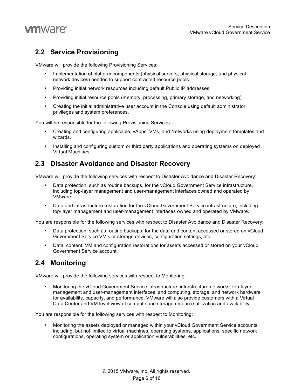

### **2.2 Service Provisioning**

VMware will provide the following Provisioning Services:

- Implementation of platform components (physical servers, physical storage, and physical network devices) needed to support contracted resource pools.
- Providing initial network resources including default Public IP addresses.
- Providing initial resource pools (memory, processing, primary storage, and networking).
- Creating the initial administrative user account in the Console using default administrator privileges and system preferences.

You will be responsible for the following Provisioning Services:

- Creating and configuring applicable, vApps, VMs, and Networks using deployment templates and wizards.
- Installing and configuring custom or third party applications and operating systems on deployed Virtual Machines.

### **2.3 Disaster Avoidance and Disaster Recovery**

VMware will provide the following services with respect to Disaster Avoidance and Disaster Recovery:

- Data protection, such as routine backups, for the vCloud Government Service infrastructure, including top-layer management and user-management interfaces owned and operated by VMware.
- Data and infrastructure restoration for the vCloud Government Service infrastructure, including top-layer management and user-management interfaces owned and operated by VMware.

You are responsible for the following services with respect to Disaster Avoidance and Disaster Recovery:

- Data protection, such as routine backups, for the data and content accessed or stored on vCloud Government Service VM's or storage devices, configuration settings, etc.
- Data, content, VM and configuration restorations for assets accessed or stored on your vCloud Government Service account.

### **2.4 Monitoring**

VMware will provide the following services with respect to Monitoring:

• Monitoring the vCloud Government Service infrastructure, infrastructure networks, top-layer management and user-management interfaces, and computing, storage, and network hardware for availability, capacity, and performance. VMware will also provide customers with a Virtual Data Center and VM level view of compute and storage resource utilization and availability.

You are responsible for the following services with respect to Monitoring:

• Monitoring the assets deployed or managed within your vCloud Government Service accounts, including, but not limited to virtual machines, operating systems, applications, specific network configurations, operating system or application vulnerabilities, etc.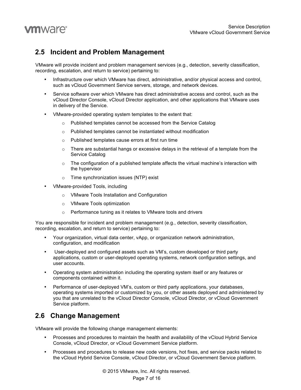

### **2.5 Incident and Problem Management**

VMware will provide incident and problem management services (e.g., detection, severity classification, recording, escalation, and return to service) pertaining to:

- Infrastructure over which VMware has direct, administrative, and/or physical access and control, such as vCloud Government Service servers, storage, and network devices.
- Service software over which VMware has direct administrative access and control, such as the vCloud Director Console, vCloud Director application, and other applications that VMware uses in delivery of the Service.
- VMware-provided operating system templates to the extent that:
	- o Published templates cannot be accessed from the Service Catalog
	- o Published templates cannot be instantiated without modification
	- o Published templates cause errors at first run time
	- $\circ$  There are substantial hangs or excessive delays in the retrieval of a template from the Service Catalog
	- $\circ$  The configuration of a published template affects the virtual machine's interaction with the hypervisor
	- o Time synchronization issues (NTP) exist
- VMware-provided Tools, including
	- o VMware Tools Installation and Configuration
	- o VMware Tools optimization
	- o Performance tuning as it relates to VMware tools and drivers

You are responsible for incident and problem management (e.g., detection, severity classification, recording, escalation, and return to service) pertaining to:

- Your organization, virtual data center, vApp, or organization network administration, configuration, and modification
- User-deployed and configured assets such as VM's, custom developed or third party applications, custom or user-deployed operating systems, network configuration settings, and user accounts.
- Operating system administration including the operating system itself or any features or components contained within it.
- Performance of user-deployed VM's, custom or third party applications, your databases, operating systems imported or customized by you, or other assets deployed and administered by you that are unrelated to the vCloud Director Console, vCloud Director, or vCloud Government Service platform.

### **2.6 Change Management**

VMware will provide the following change management elements:

- Processes and procedures to maintain the health and availability of the vCloud Hybrid Service Console, vCloud Director, or vCloud Government Service platform.
- Processes and procedures to release new code versions, hot fixes, and service packs related to the vCloud Hybrid Service Console, vCloud Director, or vCloud Government Service platform.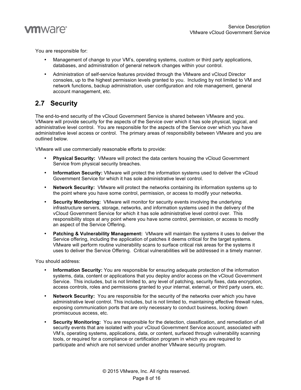

You are responsible for:

- Management of change to your VM's, operating systems, custom or third party applications, databases, and administration of general network changes within your control.
- Administration of self-service features provided through the VMware and vCloud Director consoles, up to the highest permission levels granted to you. Including by not limited to VM and network functions, backup administration, user configuration and role management, general account management, etc.

### **2.7 Security**

The end-to-end security of the vCloud Government Service is shared between VMware and you. VMware will provide security for the aspects of the Service over which it has sole physical, logical, and administrative level control. You are responsible for the aspects of the Service over which you have administrative level access or control. The primary areas of responsibility between VMware and you are outlined below.

VMware will use commercially reasonable efforts to provide:

- **Physical Security:** VMware will protect the data centers housing the vCloud Government Service from physical security breaches.
- **Information Security:** VMware will protect the information systems used to deliver the vCloud Government Service for which it has sole administrative level control.
- **Network Security:** VMware will protect the networks containing its information systems up to the point where you have some control, permission, or access to modify your networks.
- **Security Monitoring:** VMware will monitor for security events involving the underlying infrastructure servers, storage, networks, and information systems used in the delivery of the vCloud Government Service for which it has sole administrative level control over. This responsibility stops at any point where you have some control, permission, or access to modify an aspect of the Service Offering.
- **Patching & Vulnerability Management:** VMware will maintain the systems it uses to deliver the Service offering, including the application of patches it deems critical for the target systems. VMware will perform routine vulnerability scans to surface critical risk areas for the systems it uses to deliver the Service Offering. Critical vulnerabilities will be addressed in a timely manner.

You should address:

- **Information Security:** You are responsible for ensuring adequate protection of the information systems, data, content or applications that you deploy and/or access on the vCloud Government Service. This includes, but is not limited to, any level of patching, security fixes, data encryption, access controls, roles and permissions granted to your internal, external, or third party users, etc.
- **Network Security:** You are responsible for the security of the networks over which you have administrative level control. This includes, but is not limited to, maintaining effective firewall rules, exposing communication ports that are only necessary to conduct business, locking down promiscuous access, etc.
- **Security Monitoring:** You are responsible for the detection, classification, and remediation of all security events that are isolated with your vCloud Government Service account, associated with VM's, operating systems, applications, data, or content, surfaced through vulnerability scanning tools, or required for a compliance or certification program in which you are required to participate and which are not serviced under another VMware security program.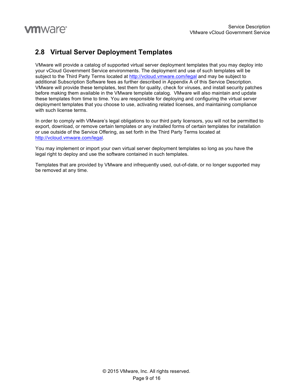### **2.8 Virtual Server Deployment Templates**

VMware will provide a catalog of supported virtual server deployment templates that you may deploy into your vCloud Government Service environments. The deployment and use of such templates will be subject to the Third Party Terms located at http://vcloud.vmware.com/legal and may be subject to additional Subscription Software fees as further described in Appendix A of this Service Description. VMware will provide these templates, test them for quality, check for viruses, and install security patches before making them available in the VMware template catalog. VMware will also maintain and update these templates from time to time. You are responsible for deploying and configuring the virtual server deployment templates that you choose to use, activating related licenses, and maintaining compliance with such license terms.

In order to comply with VMware's legal obligations to our third party licensors, you will not be permitted to export, download, or remove certain templates or any installed forms of certain templates for installation or use outside of the Service Offering, as set forth in the Third Party Terms located at http://vcloud.vmware.com/legal.

You may implement or import your own virtual server deployment templates so long as you have the legal right to deploy and use the software contained in such templates.

Templates that are provided by VMware and infrequently used, out-of-date, or no longer supported may be removed at any time.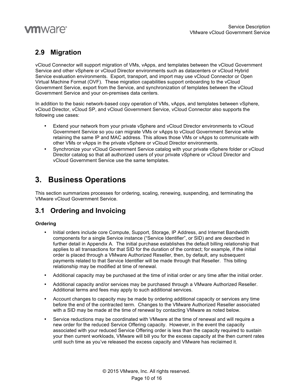

### **2.9 Migration**

vCloud Connector will support migration of VMs, vApps, and templates between the vCloud Government Service and other vSphere or vCloud Director environments such as datacenters or vCloud Hybrid Service evaluation environments. Export, transport, and import may use vCloud Connector or Open Virtual Machine Format (OVF). These migration capabilities support onboarding to the vCloud Government Service, export from the Service, and synchronization of templates between the vCloud Government Service and your on-premises data centers.

In addition to the basic network-based copy operation of VMs, vApps, and templates between vSphere, vCloud Director, vCloud SP, and vCloud Government Service, vCloud Connector also supports the following use cases:

- Extend your network from your private vSphere and vCloud Director environments to vCloud Government Service so you can migrate VMs or vApps to vCloud Government Service while retaining the same IP and MAC address. This allows those VMs or vApps to communicate with other VMs or vApps in the private vSphere or vCloud Director environments.
- Synchronize your vCloud Government Service catalog with your private vSphere folder or vCloud Director catalog so that all authorized users of your private vSphere or vCloud Director and vCloud Government Service use the same templates.

### **3. Business Operations**

This section summarizes processes for ordering, scaling, renewing, suspending, and terminating the VMware vCloud Government Service.

### **3.1 Ordering and Invoicing**

#### **Ordering**

- Initial orders include core Compute, Support, Storage, IP Address, and Internet Bandwidth components for a single Service instance ("Service Identifier", or SID) and are described in further detail in Appendix A. The initial purchase establishes the default billing relationship that applies to all transactions for that SID for the duration of the contract; for example, if the initial order is placed through a VMware Authorized Reseller, then, by default, any subsequent payments related to that Service Identifier will be made through that Reseller. This billing relationship may be modified at time of renewal.
- Additional capacity may be purchased at the time of initial order or any time after the initial order.
- Additional capacity and/or services may be purchased through a VMware Authorized Reseller. Additional terms and fees may apply to such additional services.
- Account changes to capacity may be made by ordering additional capacity or services any time before the end of the contracted term. Changes to the VMware Authorized Reseller associated with a SID may be made at the time of renewal by contacting VMware as noted below.
- Service reductions may be coordinated with VMware at the time of renewal and will require a new order for the reduced Service Offering capacity. However, in the event the capacity associated with your reduced Service Offering order is less than the capacity required to sustain your then current workloads, VMware will bill you for the excess capacity at the then current rates until such time as you've released the excess capacity and VMware has reclaimed it.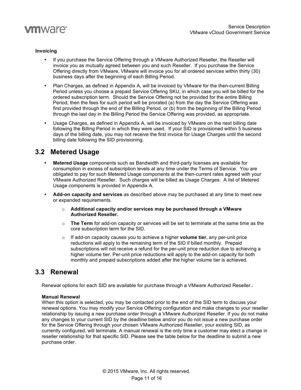

#### **Invoicing**

- If you purchase the Service Offering through a VMware Authorized Reseller, the Reseller will invoice you as mutually agreed between you and such Reseller. If you purchase the Service Offering directly from VMware, VMware will invoice you for all ordered services within thirty (30) business days after the beginning of each Billing Period.
- Plan Charges, as defined in Appendix A, will be invoiced by VMware for the then-current Billing Period unless you choose a prepaid Service Offering SKU, in which case you will be billed for the ordered subscription term. Should the Service Offering not be provided for the entire Billing Period, then the fees for such period will be prorated (a) from the day the Service Offering was first provided through the end of the Billing Period, or (b) from the beginning of the Billing Period through the last day in the Billing Period the Service Offering was provided, as appropriate.
- Usage Charges, as defined in Appendix A, will be invoiced by VMware on the next billing date following the Billing Period in which they were used. If your SID is provisioned within 5 business days of the billing date, you may not receive the first invoice for Usage Charges until the second billing date following the SID provisioning.

#### **3.2 Metered Usage**

- **Metered Usage** components such as Bandwidth and third-party licenses are available for consumption in excess of subscription levels at any time under the Terms of Service. You are obligated to pay for such Metered Usage components at the then-current rates agreed with your VMware Authorized Reseller. Such charges will be billed as Usage Charges. A list of Metered Usage components is provided in Appendix A.
- **Add-on capacity and services** as described above may be purchased at any time to meet new or expanded requirements.
	- o **Additional capacity and/or services may be purchased through a VMware Authorized Reseller.**
	- o **The Term** for add-on capacity or services will be set to terminate at the same time as the core subscription term for the SID.
	- o If add-on capacity causes you to achieve a higher **volume tier**, any per-unit price reductions will apply to the remaining term of the SID if billed monthly. Prepaid subscriptions will not receive a refund for the per-unit price reduction due to achieving a higher volume tier. Per-unit price reductions will apply to the add-on capacity for both monthly and prepaid subscriptions added after the higher volume tier is achieved.

### **3.3 Renewal**

Renewal options for each SID are available for purchase through a VMware Authorized Reseller..

#### **Manual Renewal**

When this option is selected, you may be contacted prior to the end of the SID term to discuss your renewal options. You may modify your Service Offering configuration and make changes to your reseller relationship by issuing a new purchase order through a VMware Authorized Reseller. If you do not make any changes to your current SID by the deadline below and/or you do not issue a new purchase order for the Service Offering through your chosen VMware Authorized Reseller, your existing SID, as currently configured, will terminate. A manual renewal is the only time a customer may elect a change in reseller relationship for that specific SID. Please see the table below for the deadline to submit a new purchase order.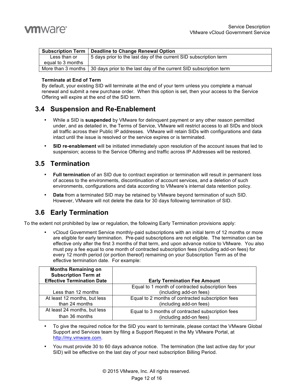|                   | Subscription Term   Deadline to Change Renewal Option                                   |
|-------------------|-----------------------------------------------------------------------------------------|
| Less than or      | 5 days prior to the last day of the current SID subscription term                       |
| equal to 3 months |                                                                                         |
|                   | More than 3 months   30 days prior to the last day of the current SID subscription term |

#### **Terminate at End of Term**

By default, your existing SID will terminate at the end of your term unless you complete a manual renewal and submit a new purchase order. When this option is set, then your access to the Service Offering will expire at the end of the SID term.

#### **3.4 Suspension and Re-Enablement**

- While a SID is **suspended** by VMware for delinquent payment or any other reason permitted under, and as detailed in, the Terms of Service, VMware will restrict access to all SIDs and block all traffic across their Public IP addresses. VMware will retain SIDs with configurations and data intact until the issue is resolved or the service expires or is terminated.
- **SID re-enablement** will be initiated immediately upon resolution of the account issues that led to suspension; access to the Service Offering and traffic across IP Addresses will be restored.

#### **3.5 Termination**

- **Full termination** of an SID due to contract expiration or termination will result in permanent loss of access to the environments, discontinuation of account services, and a deletion of such environments, configurations and data according to VMware's internal data retention policy.
- **Data** from a terminated SID may be retained by VMware beyond termination of such SID. However, VMware will not delete the data for 30 days following termination of SID.

### **3.6 Early Termination**

To the extent not prohibited by law or regulation, the following Early Termination provisions apply:

• vCloud Government Service monthly-paid subscriptions with an initial term of 12 months or more are eligible for early termination. Pre-paid subscriptions are not eligible. The termination can be effective only after the first 3 months of that term, and upon advance notice to VMware. You also must pay a fee equal to one month of contracted subscription fees (including add-on fees) for every 12 month period (or portion thereof) remaining on your Subscription Term as of the effective termination date. For example:

| <b>Months Remaining on</b><br><b>Subscription Term at</b><br><b>Effective Termination Date</b> | <b>Early Termination Fee Amount</b>               |
|------------------------------------------------------------------------------------------------|---------------------------------------------------|
|                                                                                                | Equal to 1 month of contracted subscription fees  |
| Less than 12 months                                                                            | (including add-on fees)                           |
| At least 12 months, but less                                                                   | Equal to 2 months of contracted subscription fees |
| than 24 months                                                                                 | (including add-on fees)                           |
| At least 24 months, but less                                                                   | Equal to 3 months of contracted subscription fees |
| than 36 months                                                                                 | (including add-on fees)                           |

- To give the required notice for the SID you want to terminate, please contact the VMware Global Support and Services team by filing a Support Request in the My VMware Portal, at http://my.vmware.com.
- You must provide 30 to 60 days advance notice. The termination (the last active day for your SID) will be effective on the last day of your next subscription Billing Period.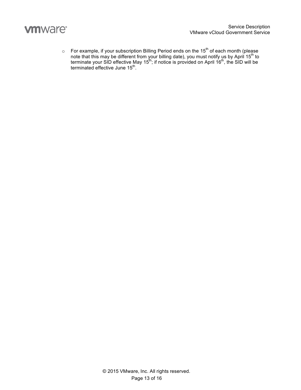

 $\circ$  For example, if your subscription Billing Period ends on the 15<sup>th</sup> of each month (please note that this may be different from your billing date), you must notify us by April 15<sup>th</sup> to terminate your SID effective May 15<sup>th</sup>; if notice is provided on April 16<sup>th</sup>, the SID will be terminated effective June 15<sup>th</sup>.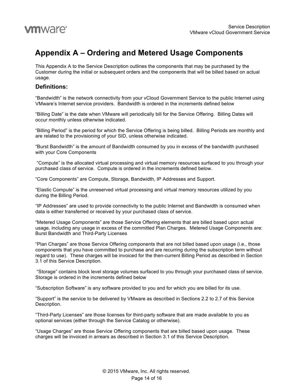

### **Appendix A – Ordering and Metered Usage Components**

This Appendix A to the Service Description outlines the components that may be purchased by the Customer during the initial or subsequent orders and the components that will be billed based on actual usage.

#### **Definitions:**

"Bandwidth" is the network connectivity from your vCloud Government Service to the public Internet using VMware's Internet service providers. Bandwidth is ordered in the increments defined below

"Billing Date" is the date when VMware will periodically bill for the Service Offering. Billing Dates will occur monthly unless otherwise indicated.

"Billing Period" is the period for which the Service Offering is being billed. Billing Periods are monthly and are related to the provisioning of your SID, unless otherwise indicated.

"Burst Bandwidth" is the amount of Bandwidth consumed by you in excess of the bandwidth purchased with your Core Components

"Compute" is the allocated virtual processing and virtual memory resources surfaced to you through your purchased class of service. Compute is ordered in the increments defined below.

"Core Components" are Compute, Storage, Bandwidth, IP Addresses and Support.

"Elastic Compute" is the unreserved virtual processing and virtual memory resources utilized by you during the Billing Period.

"IP Addresses" are used to provide connectivity to the public Internet and Bandwidth is consumed when data is either transferred or received by your purchased class of service.

"Metered Usage Components" are those Service Offering elements that are billed based upon actual usage, including any usage in excess of the committed Plan Charges. Metered Usage Components are: Burst Bandwidth and Third-Party Licenses

"Plan Charges" are those Service Offering components that are not billed based upon usage (i.e., those components that you have committed to purchase and are recurring during the subscription term without regard to use). These charges will be invoiced for the then-current Billing Period as described in Section 3.1 of this Service Description.

"Storage" contains block level storage volumes surfaced to you through your purchased class of service. Storage is ordered in the increments defined below

"Subscription Software" is any software provided to you and for which you are billed for its use.

"Support" is the service to be delivered by VMware as described in Sections 2.2 to 2.7 of this Service Description.

"Third-Party Licenses" are those licenses for third-party software that are made available to you as optional services (either through the Service Catalog or otherwise).

"Usage Charges" are those Service Offering components that are billed based upon usage. These charges will be invoiced in arrears as described in Section 3.1 of this Service Description.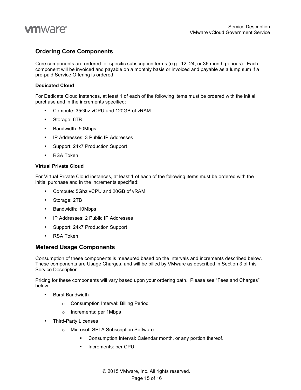

#### **Ordering Core Components**

Core components are ordered for specific subscription terms (e.g., 12, 24, or 36 month periods). Each component will be invoiced and payable on a monthly basis or invoiced and payable as a lump sum if a pre-paid Service Offering is ordered.

#### **Dedicated Cloud**

For Dedicate Cloud instances, at least 1 of each of the following items must be ordered with the initial purchase and in the increments specified:

- Compute: 35Ghz vCPU and 120GB of vRAM
- Storage: 6TB
- Bandwidth: 50Mbps
- IP Addresses: 3 Public IP Addresses
- Support: 24x7 Production Support
- RSA Token

#### **Virtual Private Cloud**

For Virtual Private Cloud instances, at least 1 of each of the following items must be ordered with the initial purchase and in the increments specified:

- Compute: 5Ghz vCPU and 20GB of vRAM
- Storage: 2TB
- Bandwidth: 10Mbps
- IP Addresses: 2 Public IP Addresses
- Support: 24x7 Production Support
- RSA Token

#### **Metered Usage Components**

Consumption of these components is measured based on the intervals and increments described below. These components are Usage Charges, and will be billed by VMware as described in Section 3 of this Service Description.

Pricing for these components will vary based upon your ordering path. Please see "Fees and Charges" below.

- Burst Bandwidth
	- o Consumption Interval: Billing Period
	- o Increments: per 1Mbps
- Third-Party Licenses
	- o Microsoft SPLA Subscription Software
		- Consumption Interval: Calendar month, or any portion thereof.
		- Increments: per CPU